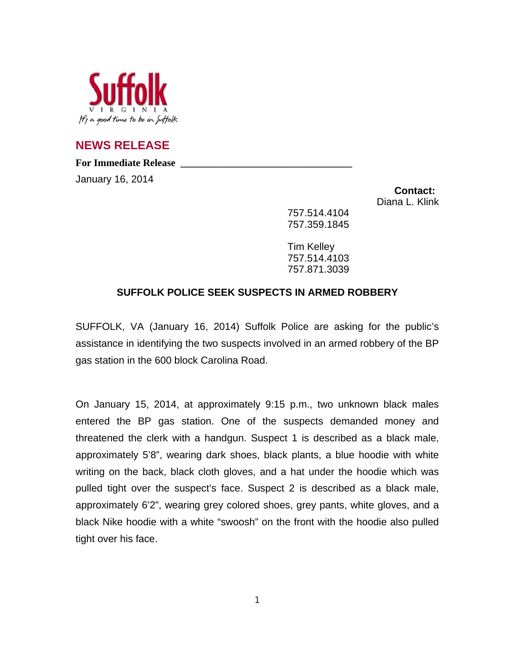

**NEWS RELEASE**

For Immediate Release

January 16, 2014

**Contact:** Diana L. Klink

757.514.4104 757.359.1845

Tim Kelley 757.514.4103 757.871.3039

## **SUFFOLK POLICE SEEK SUSPECTS IN ARMED ROBBERY**

SUFFOLK, VA (January 16, 2014) Suffolk Police are asking for the public's assistance in identifying the two suspects involved in an armed robbery of the BP gas station in the 600 block Carolina Road.

On January 15, 2014, at approximately 9:15 p.m., two unknown black males entered the BP gas station. One of the suspects demanded money and threatened the clerk with a handgun. Suspect 1 is described as a black male, approximately 5'8", wearing dark shoes, black plants, a blue hoodie with white writing on the back, black cloth gloves, and a hat under the hoodie which was pulled tight over the suspect's face. Suspect 2 is described as a black male, approximately 6'2", wearing grey colored shoes, grey pants, white gloves, and a black Nike hoodie with a white "swoosh" on the front with the hoodie also pulled tight over his face.